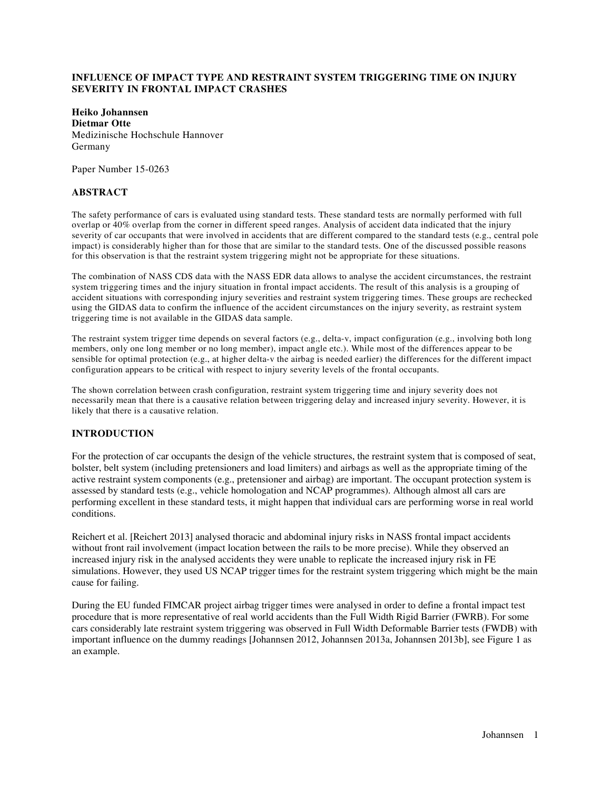# **INFLUENCE OF IMPACT TYPE AND RESTRAINT SYSTEM TRIGGERING TIME ON INJURY SEVERITY IN FRONTAL IMPACT CRASHES**

**Heiko Johannsen Dietmar Otte**  Medizinische Hochschule Hannover Germany

Paper Number 15-0263

### **ABSTRACT**

The safety performance of cars is evaluated using standard tests. These standard tests are normally performed with full overlap or 40% overlap from the corner in different speed ranges. Analysis of accident data indicated that the injury severity of car occupants that were involved in accidents that are different compared to the standard tests (e.g., central pole impact) is considerably higher than for those that are similar to the standard tests. One of the discussed possible reasons for this observation is that the restraint system triggering might not be appropriate for these situations.

The combination of NASS CDS data with the NASS EDR data allows to analyse the accident circumstances, the restraint system triggering times and the injury situation in frontal impact accidents. The result of this analysis is a grouping of accident situations with corresponding injury severities and restraint system triggering times. These groups are rechecked using the GIDAS data to confirm the influence of the accident circumstances on the injury severity, as restraint system triggering time is not available in the GIDAS data sample.

The restraint system trigger time depends on several factors (e.g., delta-v, impact configuration (e.g., involving both long members, only one long member or no long member), impact angle etc.). While most of the differences appear to be sensible for optimal protection (e.g., at higher delta-v the airbag is needed earlier) the differences for the different impact configuration appears to be critical with respect to injury severity levels of the frontal occupants.

The shown correlation between crash configuration, restraint system triggering time and injury severity does not necessarily mean that there is a causative relation between triggering delay and increased injury severity. However, it is likely that there is a causative relation.

# **INTRODUCTION**

For the protection of car occupants the design of the vehicle structures, the restraint system that is composed of seat, bolster, belt system (including pretensioners and load limiters) and airbags as well as the appropriate timing of the active restraint system components (e.g., pretensioner and airbag) are important. The occupant protection system is assessed by standard tests (e.g., vehicle homologation and NCAP programmes). Although almost all cars are performing excellent in these standard tests, it might happen that individual cars are performing worse in real world conditions.

Reichert et al. [Reichert 2013] analysed thoracic and abdominal injury risks in NASS frontal impact accidents without front rail involvement (impact location between the rails to be more precise). While they observed an increased injury risk in the analysed accidents they were unable to replicate the increased injury risk in FE simulations. However, they used US NCAP trigger times for the restraint system triggering which might be the main cause for failing.

During the EU funded FIMCAR project airbag trigger times were analysed in order to define a frontal impact test procedure that is more representative of real world accidents than the Full Width Rigid Barrier (FWRB). For some cars considerably late restraint system triggering was observed in Full Width Deformable Barrier tests (FWDB) with important influence on the dummy readings [Johannsen 2012, Johannsen 2013a, Johannsen 2013b], see Figure 1 as an example.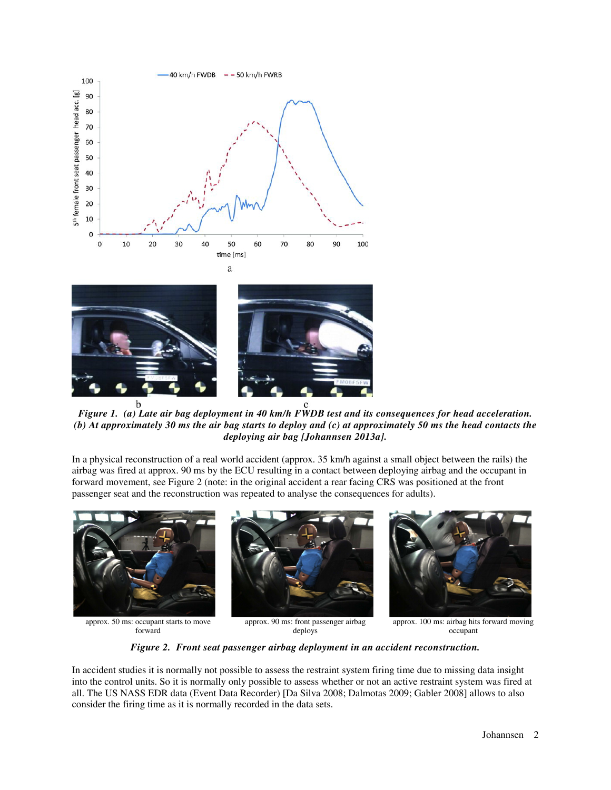





*Figure 1. (a) Late air bag deployment in 40 km/h FWDB test and its consequences for head acceleration. (b) At approximately 30 ms the air bag starts to deploy and (c) at approximately 50 ms the head contacts the deploying air bag [Johannsen 2013a].* 

In a physical reconstruction of a real world accident (approx. 35 km/h against a small object between the rails) the airbag was fired at approx. 90 ms by the ECU resulting in a contact between deploying airbag and the occupant in forward movement, see Figure 2 (note: in the original accident a rear facing CRS was positioned at the front passenger seat and the reconstruction was repeated to analyse the consequences for adults).



deploys

*Figure 2. Front seat passenger airbag deployment in an accident reconstruction.* 

In accident studies it is normally not possible to assess the restraint system firing time due to missing data insight into the control units. So it is normally only possible to assess whether or not an active restraint system was fired at all. The US NASS EDR data (Event Data Recorder) [Da Silva 2008; Dalmotas 2009; Gabler 2008] allows to also consider the firing time as it is normally recorded in the data sets.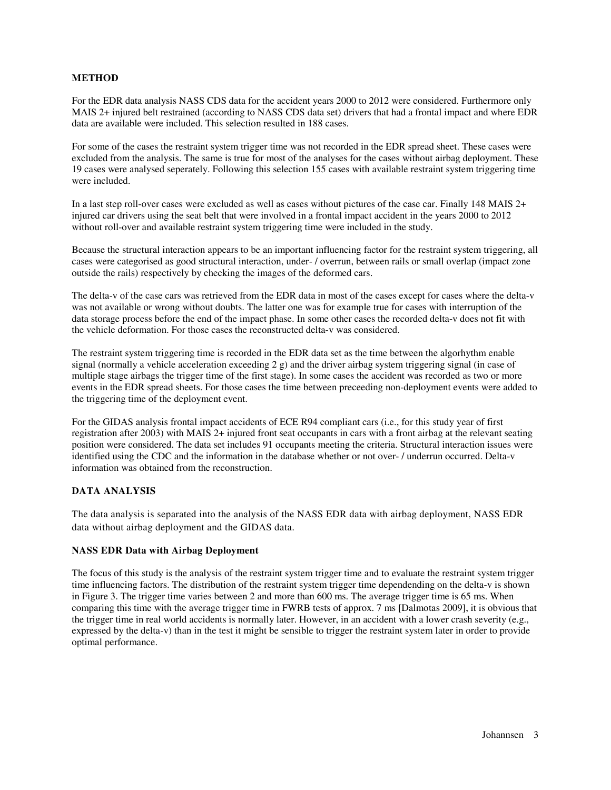### **METHOD**

For the EDR data analysis NASS CDS data for the accident years 2000 to 2012 were considered. Furthermore only MAIS 2+ injured belt restrained (according to NASS CDS data set) drivers that had a frontal impact and where EDR data are available were included. This selection resulted in 188 cases.

For some of the cases the restraint system trigger time was not recorded in the EDR spread sheet. These cases were excluded from the analysis. The same is true for most of the analyses for the cases without airbag deployment. These 19 cases were analysed seperately. Following this selection 155 cases with available restraint system triggering time were included.

In a last step roll-over cases were excluded as well as cases without pictures of the case car. Finally 148 MAIS 2+ injured car drivers using the seat belt that were involved in a frontal impact accident in the years 2000 to 2012 without roll-over and available restraint system triggering time were included in the study.

Because the structural interaction appears to be an important influencing factor for the restraint system triggering, all cases were categorised as good structural interaction, under- / overrun, between rails or small overlap (impact zone outside the rails) respectively by checking the images of the deformed cars.

The delta-v of the case cars was retrieved from the EDR data in most of the cases except for cases where the delta-v was not available or wrong without doubts. The latter one was for example true for cases with interruption of the data storage process before the end of the impact phase. In some other cases the recorded delta-v does not fit with the vehicle deformation. For those cases the reconstructed delta-v was considered.

The restraint system triggering time is recorded in the EDR data set as the time between the algorhythm enable signal (normally a vehicle acceleration exceeding 2 g) and the driver airbag system triggering signal (in case of multiple stage airbags the trigger time of the first stage). In some cases the accident was recorded as two or more events in the EDR spread sheets. For those cases the time between preceeding non-deployment events were added to the triggering time of the deployment event.

For the GIDAS analysis frontal impact accidents of ECE R94 compliant cars (i.e., for this study year of first registration after 2003) with MAIS 2+ injured front seat occupants in cars with a front airbag at the relevant seating position were considered. The data set includes 91 occupants meeting the criteria. Structural interaction issues were identified using the CDC and the information in the database whether or not over- / underrun occurred. Delta-v information was obtained from the reconstruction.

# **DATA ANALYSIS**

The data analysis is separated into the analysis of the NASS EDR data with airbag deployment, NASS EDR data without airbag deployment and the GIDAS data.

#### **NASS EDR Data with Airbag Deployment**

The focus of this study is the analysis of the restraint system trigger time and to evaluate the restraint system trigger time influencing factors. The distribution of the restraint system trigger time dependending on the delta-v is shown in Figure 3. The trigger time varies between 2 and more than 600 ms. The average trigger time is 65 ms. When comparing this time with the average trigger time in FWRB tests of approx. 7 ms [Dalmotas 2009], it is obvious that the trigger time in real world accidents is normally later. However, in an accident with a lower crash severity (e.g., expressed by the delta-v) than in the test it might be sensible to trigger the restraint system later in order to provide optimal performance.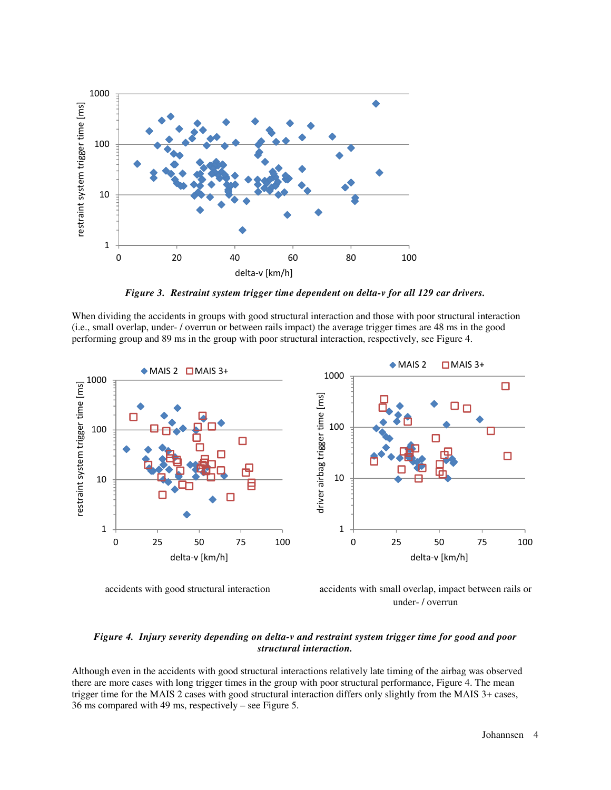

*Figure 3. Restraint system trigger time dependent on delta-v for all 129 car drivers.* 

When dividing the accidents in groups with good structural interaction and those with poor structural interaction (i.e., small overlap, under- / overrun or between rails impact) the average trigger times are 48 ms in the good performing group and 89 ms in the group with poor structural interaction, respectively, see Figure 4.



accidents with good structural interaction accidents with small overlap, impact between rails or under- / overrun

### *Figure 4. Injury severity depending on delta-v and restraint system trigger time for good and poor structural interaction.*

Although even in the accidents with good structural interactions relatively late timing of the airbag was observed there are more cases with long trigger times in the group with poor structural performance, Figure 4. The mean trigger time for the MAIS 2 cases with good structural interaction differs only slightly from the MAIS 3+ cases, 36 ms compared with 49 ms, respectively – see Figure 5.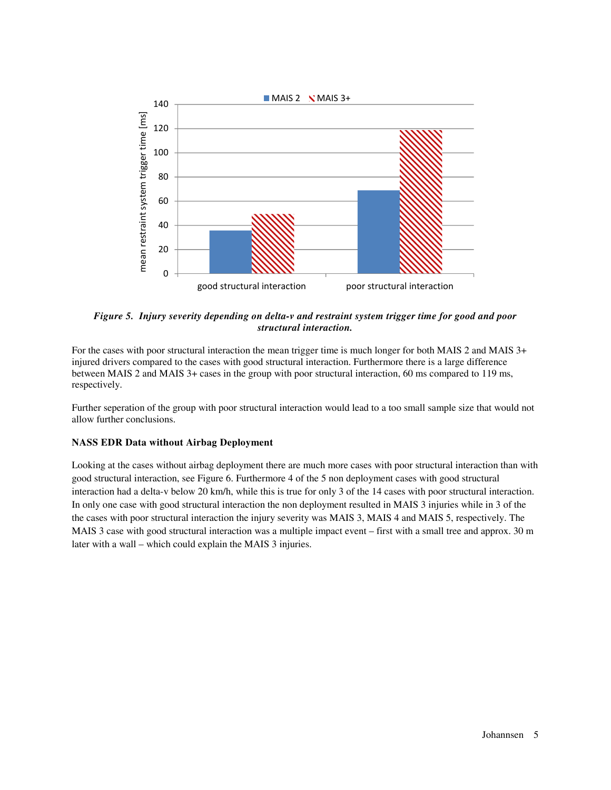

*Figure 5. Injury severity depending on delta-v and restraint system trigger time for good and poor structural interaction.* 

For the cases with poor structural interaction the mean trigger time is much longer for both MAIS 2 and MAIS 3+ injured drivers compared to the cases with good structural interaction. Furthermore there is a large difference between MAIS 2 and MAIS 3+ cases in the group with poor structural interaction, 60 ms compared to 119 ms, respectively.

Further seperation of the group with poor structural interaction would lead to a too small sample size that would not allow further conclusions.

## **NASS EDR Data without Airbag Deployment**

Looking at the cases without airbag deployment there are much more cases with poor structural interaction than with good structural interaction, see Figure 6. Furthermore 4 of the 5 non deployment cases with good structural interaction had a delta-v below 20 km/h, while this is true for only 3 of the 14 cases with poor structural interaction. In only one case with good structural interaction the non deployment resulted in MAIS 3 injuries while in 3 of the the cases with poor structural interaction the injury severity was MAIS 3, MAIS 4 and MAIS 5, respectively. The MAIS 3 case with good structural interaction was a multiple impact event – first with a small tree and approx. 30 m later with a wall – which could explain the MAIS 3 injuries.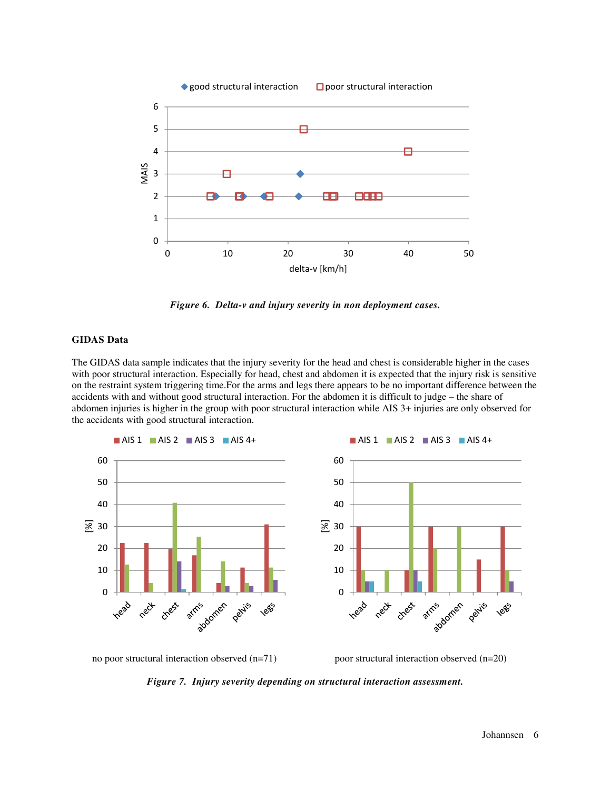

*Figure 6. Delta-v and injury severity in non deployment cases.* 

#### **GIDAS Data**

The GIDAS data sample indicates that the injury severity for the head and chest is considerable higher in the cases with poor structural interaction. Especially for head, chest and abdomen it is expected that the injury risk is sensitive on the restraint system triggering time.For the arms and legs there appears to be no important difference between the accidents with and without good structural interaction. For the abdomen it is difficult to judge – the share of abdomen injuries is higher in the group with poor structural interaction while AIS 3+ injuries are only observed for the accidents with good structural interaction.



no poor structural interaction observed (n=71) poor structural interaction observed (n=20)

*Figure 7. Injury severity depending on structural interaction assessment.*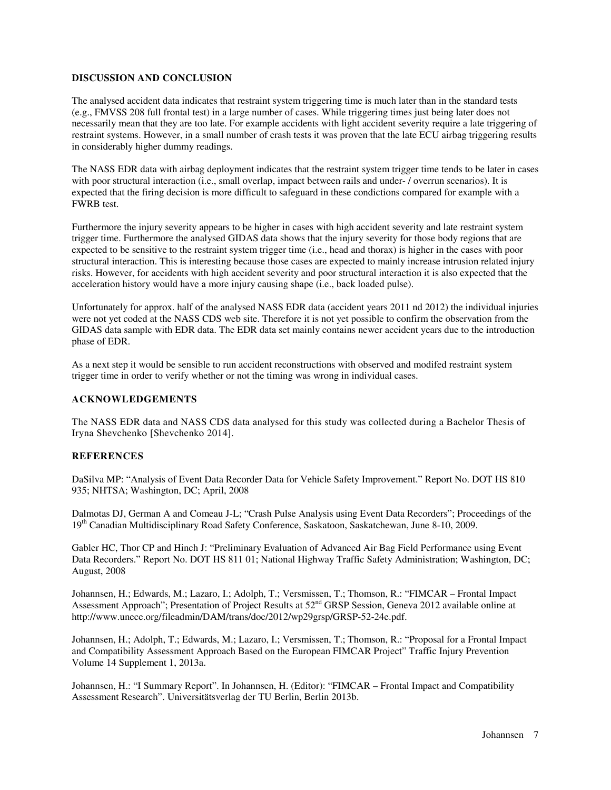### **DISCUSSION AND CONCLUSION**

The analysed accident data indicates that restraint system triggering time is much later than in the standard tests (e.g., FMVSS 208 full frontal test) in a large number of cases. While triggering times just being later does not necessarily mean that they are too late. For example accidents with light accident severity require a late triggering of restraint systems. However, in a small number of crash tests it was proven that the late ECU airbag triggering results in considerably higher dummy readings.

The NASS EDR data with airbag deployment indicates that the restraint system trigger time tends to be later in cases with poor structural interaction (i.e., small overlap, impact between rails and under- / overrun scenarios). It is expected that the firing decision is more difficult to safeguard in these condictions compared for example with a FWRB test.

Furthermore the injury severity appears to be higher in cases with high accident severity and late restraint system trigger time. Furthermore the analysed GIDAS data shows that the injury severity for those body regions that are expected to be sensitive to the restraint system trigger time (i.e., head and thorax) is higher in the cases with poor structural interaction. This is interesting because those cases are expected to mainly increase intrusion related injury risks. However, for accidents with high accident severity and poor structural interaction it is also expected that the acceleration history would have a more injury causing shape (i.e., back loaded pulse).

Unfortunately for approx. half of the analysed NASS EDR data (accident years 2011 nd 2012) the individual injuries were not yet coded at the NASS CDS web site. Therefore it is not yet possible to confirm the observation from the GIDAS data sample with EDR data. The EDR data set mainly contains newer accident years due to the introduction phase of EDR.

As a next step it would be sensible to run accident reconstructions with observed and modifed restraint system trigger time in order to verify whether or not the timing was wrong in individual cases.

### **ACKNOWLEDGEMENTS**

The NASS EDR data and NASS CDS data analysed for this study was collected during a Bachelor Thesis of Iryna Shevchenko [Shevchenko 2014].

#### **REFERENCES**

DaSilva MP: "Analysis of Event Data Recorder Data for Vehicle Safety Improvement." Report No. DOT HS 810 935; NHTSA; Washington, DC; April, 2008

Dalmotas DJ, German A and Comeau J-L; "Crash Pulse Analysis using Event Data Recorders"; Proceedings of the 19th Canadian Multidisciplinary Road Safety Conference, Saskatoon, Saskatchewan, June 8-10, 2009.

Gabler HC, Thor CP and Hinch J: "Preliminary Evaluation of Advanced Air Bag Field Performance using Event Data Recorders." Report No. DOT HS 811 01; National Highway Traffic Safety Administration; Washington, DC; August, 2008

Johannsen, H.; Edwards, M.; Lazaro, I.; Adolph, T.; Versmissen, T.; Thomson, R.: "FIMCAR – Frontal Impact Assessment Approach"; Presentation of Project Results at 52<sup>nd</sup> GRSP Session, Geneva 2012 available online at http://www.unece.org/fileadmin/DAM/trans/doc/2012/wp29grsp/GRSP-52-24e.pdf.

Johannsen, H.; Adolph, T.; Edwards, M.; Lazaro, I.; Versmissen, T.; Thomson, R.: "Proposal for a Frontal Impact and Compatibility Assessment Approach Based on the European FIMCAR Project" Traffic Injury Prevention Volume 14 Supplement 1, 2013a.

Johannsen, H.: "I Summary Report". In Johannsen, H. (Editor): "FIMCAR – Frontal Impact and Compatibility Assessment Research". Universitätsverlag der TU Berlin, Berlin 2013b.